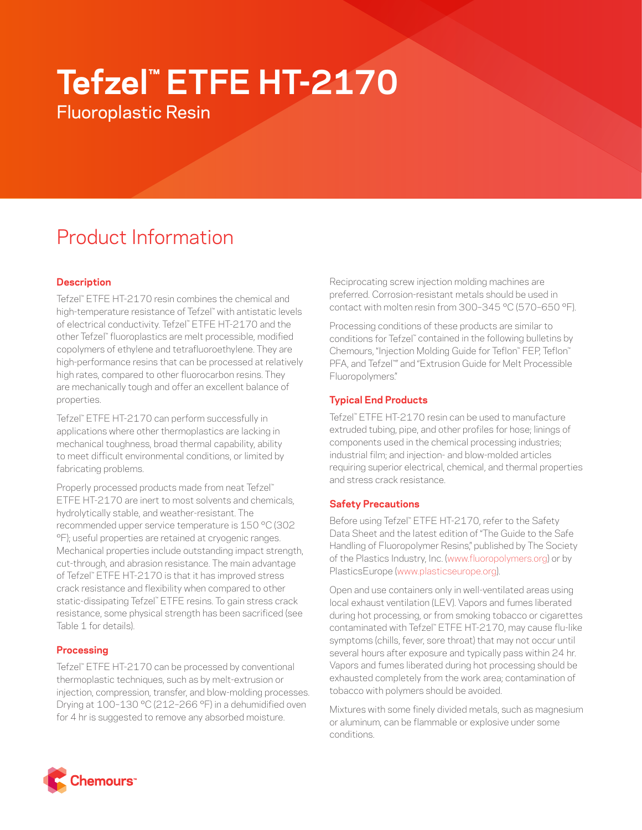# **Tefzel™ ETFE HT-2170**

Fluoroplastic Resin

# Product Information

# **Description**

Tefzel™ ETFE HT-2170 resin combines the chemical and high-temperature resistance of Tefzel™ with antistatic levels of electrical conductivity. Tefzel™ ETFE HT-2170 and the other Tefzel™ fluoroplastics are melt processible, modified copolymers of ethylene and tetrafluoroethylene. They are high-performance resins that can be processed at relatively high rates, compared to other fluorocarbon resins. They are mechanically tough and offer an excellent balance of properties.

Tefzel™ ETFE HT-2170 can perform successfully in applications where other thermoplastics are lacking in mechanical toughness, broad thermal capability, ability to meet difficult environmental conditions, or limited by fabricating problems.

Properly processed products made from neat Tefzel™ ETFE HT-2170 are inert to most solvents and chemicals, hydrolytically stable, and weather-resistant. The recommended upper service temperature is 150 °C (302 °F); useful properties are retained at cryogenic ranges. Mechanical properties include outstanding impact strength, cut-through, and abrasion resistance. The main advantage of Tefzel™ ETFE HT-2170 is that it has improved stress crack resistance and flexibility when compared to other static-dissipating Tefzel™ ETFE resins. To gain stress crack resistance, some physical strength has been sacrificed (see Table 1 for details).

## **Processing**

Tefzel™ ETFE HT-2170 can be processed by conventional thermoplastic techniques, such as by melt-extrusion or injection, compression, transfer, and blow-molding processes. Drying at 100–130 °C (212–266 °F) in a dehumidified oven for 4 hr is suggested to remove any absorbed moisture.

Reciprocating screw injection molding machines are preferred. Corrosion-resistant metals should be used in contact with molten resin from 300–345 °C (570–650 °F).

Processing conditions of these products are similar to conditions for Tefzel™ contained in the following bulletins by Chemours, "Injection Molding Guide for Teflon™ FEP, Teflon™ PFA, and Tefzel™ " and "Extrusion Guide for Melt Processible Fluoropolymers."

# **Typical End Products**

Tefzel™ ETFE HT-2170 resin can be used to manufacture extruded tubing, pipe, and other profiles for hose; linings of components used in the chemical processing industries; industrial film; and injection- and blow-molded articles requiring superior electrical, chemical, and thermal properties and stress crack resistance.

## **Safety Precautions**

Before using Tefzel™ ETFE HT-2170, refer to the Safety Data Sheet and the latest edition of "The Guide to the Safe Handling of Fluoropolymer Resins," published by The Society of the Plastics Industry, Inc. ([www.fluoropolymers.org](http://www.fluoropolymers.org)) or by PlasticsEurope ([www.plasticseurope.org\)](http://www.plasticseurope.org).

Open and use containers only in well-ventilated areas using local exhaust ventilation (LEV). Vapors and fumes liberated during hot processing, or from smoking tobacco or cigarettes contaminated with Tefzel™ ETFE HT-2170, may cause flu-like symptoms (chills, fever, sore throat) that may not occur until several hours after exposure and typically pass within 24 hr. Vapors and fumes liberated during hot processing should be exhausted completely from the work area; contamination of tobacco with polymers should be avoided.

Mixtures with some finely divided metals, such as magnesium or aluminum, can be flammable or explosive under some conditions.